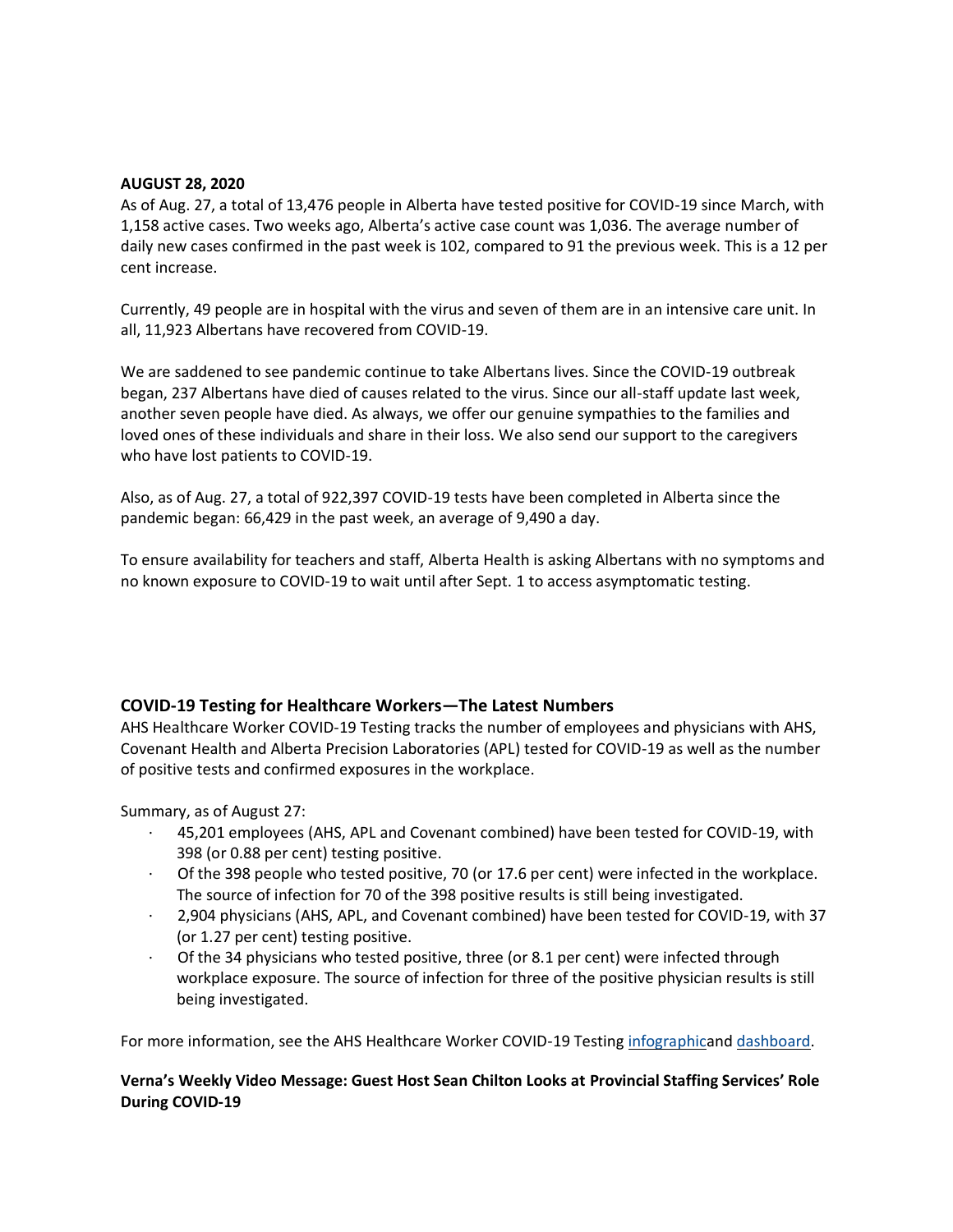#### **AUGUST 28, 2020**

As of Aug. 27, a total of 13,476 people in Alberta have tested positive for COVID-19 since March, with 1,158 active cases. Two weeks ago, Alberta's active case count was 1,036. The average number of daily new cases confirmed in the past week is 102, compared to 91 the previous week. This is a 12 per cent increase.

Currently, 49 people are in hospital with the virus and seven of them are in an intensive care unit. In all, 11,923 Albertans have recovered from COVID-19.

We are saddened to see pandemic continue to take Albertans lives. Since the COVID-19 outbreak began, 237 Albertans have died of causes related to the virus. Since our all-staff update last week, another seven people have died. As always, we offer our genuine sympathies to the families and loved ones of these individuals and share in their loss. We also send our support to the caregivers who have lost patients to COVID-19.

Also, as of Aug. 27, a total of 922,397 COVID-19 tests have been completed in Alberta since the pandemic began: 66,429 in the past week, an average of 9,490 a day.

To ensure availability for teachers and staff, Alberta Health is asking Albertans with no symptoms and no known exposure to COVID-19 to wait until after Sept. 1 to access asymptomatic testing.

## **COVID-19 Testing for Healthcare Workers—The Latest Numbers**

AHS Healthcare Worker COVID-19 Testing tracks the number of employees and physicians with AHS, Covenant Health and Alberta Precision Laboratories (APL) tested for COVID-19 as well as the number of positive tests and confirmed exposures in the workplace.

Summary, as of August 27:

- · 45,201 employees (AHS, APL and Covenant combined) have been tested for COVID-19, with 398 (or 0.88 per cent) testing positive.
- · Of the 398 people who tested positive, 70 (or 17.6 per cent) were infected in the workplace. The source of infection for 70 of the 398 positive results is still being investigated.
- · 2,904 physicians (AHS, APL, and Covenant combined) have been tested for COVID-19, with 37 (or 1.27 per cent) testing positive.
- Of the 34 physicians who tested positive, three (or 8.1 per cent) were infected through workplace exposure. The source of infection for three of the positive physician results is still being investigated.

For more information, see the AHS Healthcare Worker COVID-19 Testing [infographica](https://insite.albertahealthservices.ca/main/assets/tls/ep/tls-ep-covid-19-healthcare-worker-testing-infographic.pdf)nd [dashboard.](https://tableau.albertahealthservices.ca/#/views/AHSEmployeePhysicianCOVID-19TestSurveillanceDashboard/Introduction?:iid=1)

# **Verna's Weekly Video Message: Guest Host Sean Chilton Looks at Provincial Staffing Services' Role During COVID-19**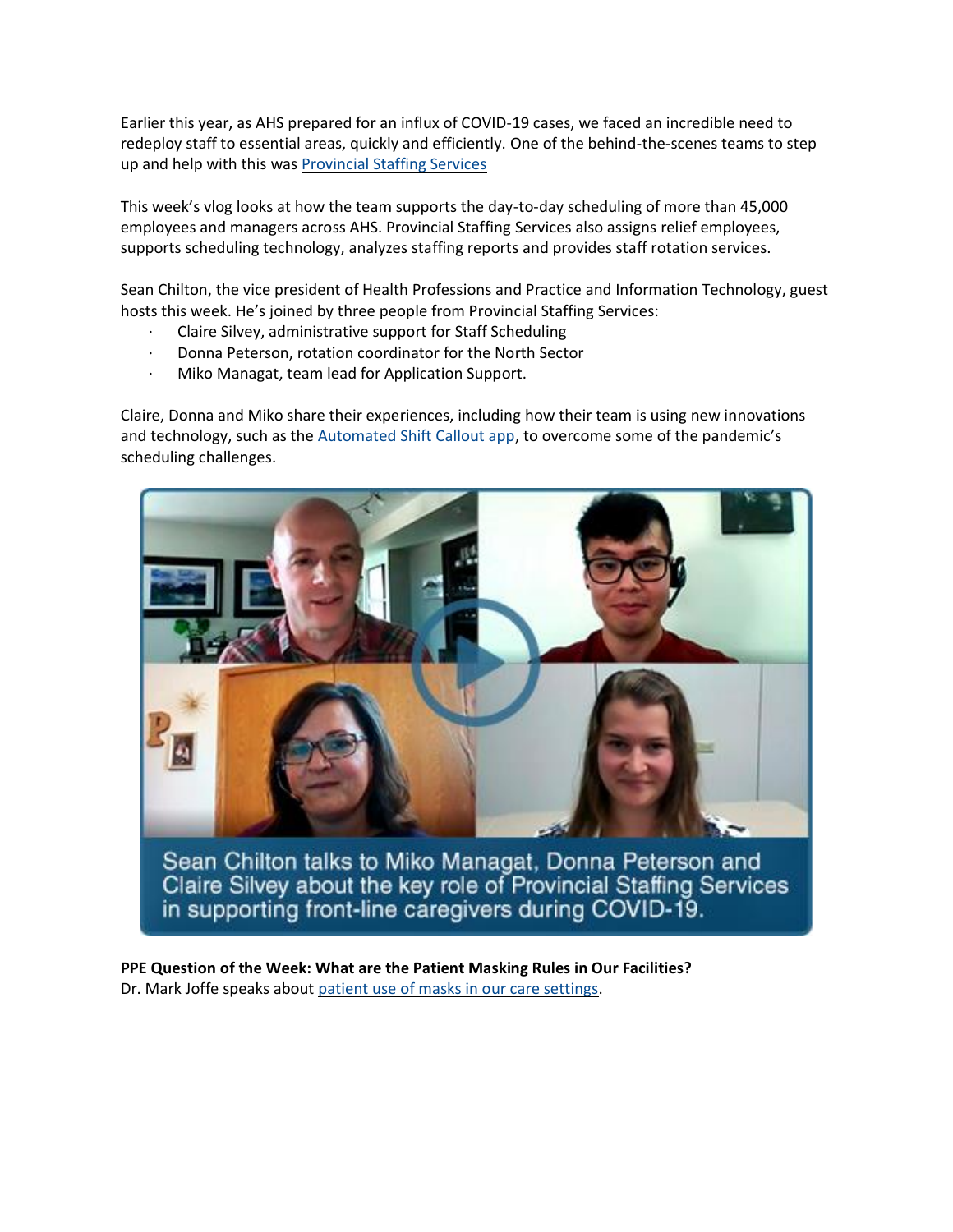Earlier this year, as AHS prepared for an influx of COVID-19 cases, we faced an incredible need to redeploy staff to essential areas, quickly and efficiently. One of the behind-the-scenes teams to step up and help with this was [Provincial Staffing Services](https://insite.albertahealthservices.ca/ss/Page10609.aspx)

This week's vlog looks at how the team supports the day-to-day scheduling of more than 45,000 employees and managers across AHS. Provincial Staffing Services also assigns relief employees, supports scheduling technology, analyzes staffing reports and provides staff rotation services.

Sean Chilton, the vice president of Health Professions and Practice and Information Technology, guest hosts this week. He's joined by three people from Provincial Staffing Services:

- · Claire Silvey, administrative support for Staff Scheduling
- · Donna Peterson, rotation coordinator for the North Sector
- Miko Managat, team lead for Application Support.

Claire, Donna and Miko share their experiences, including how their team is using new innovations and technology, such as the [Automated Shift Callout app](https://insite.albertahealthservices.ca/ss/Page17538.aspx), to overcome some of the pandemic's scheduling challenges.



Sean Chilton talks to Miko Managat, Donna Peterson and Claire Silvey about the key role of Provincial Staffing Services in supporting front-line caregivers during COVID-19.

**PPE Question of the Week: What are the Patient Masking Rules in Our Facilities?** Dr. Mark Joffe speaks about [patient use of masks in our care settings.](https://www.albertahealthservices.ca/topics/Page17119.aspx#ppedodont)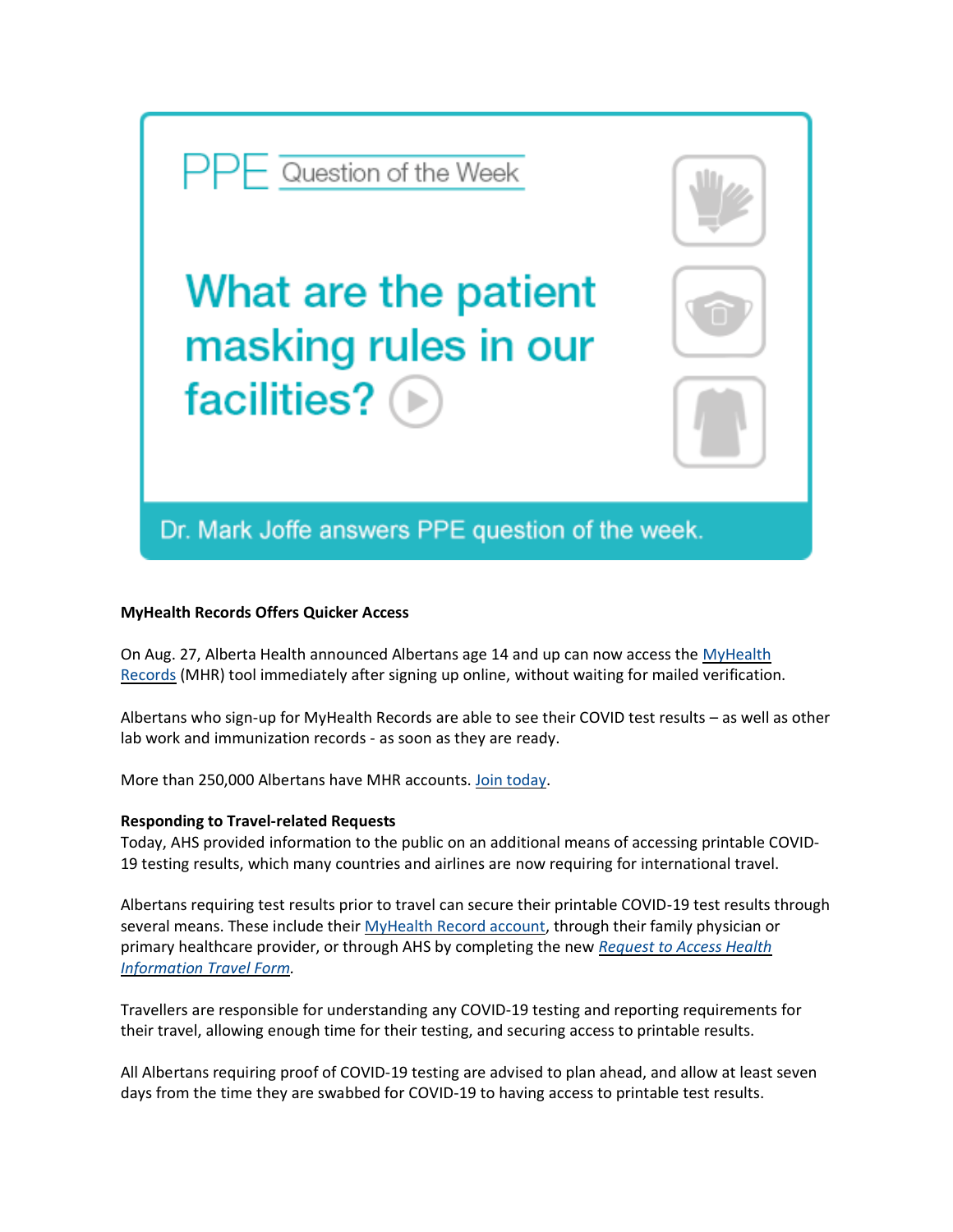

### **MyHealth Records Offers Quicker Access**

On Aug. 27, Alberta Health announced Albertans age 14 and up can now access the MyHealth [Records](https://myhealth.alberta.ca/myhealthrecords) (MHR) tool immediately after signing up online, without waiting for mailed verification.

Albertans who sign-up for MyHealth Records are able to see their COVID test results – as well as other lab work and immunization records - as soon as they are ready.

More than 250,000 Albertans have MHR accounts. [Join today.](https://myhealth.alberta.ca/myhealthrecords)

## **Responding to Travel-related Requests**

Today, AHS provided information to the public on an additional means of accessing printable COVID-19 testing results, which many countries and airlines are now requiring for international travel.

Albertans requiring test results prior to travel can secure their printable COVID-19 test results through several means. These include their [MyHealth Record account,](https://myhealth.alberta.ca/myhealthrecords) through their family physician or primary healthcare provider, or through AHS by completing the new *[Request](http://www.ahs.ca/results#travel) to Access Health [Information](http://www.ahs.ca/results#travel) Travel Form.*

Travellers are responsible for understanding any COVID-19 testing and reporting requirements for their travel, allowing enough time for their testing, and securing access to printable results.

All Albertans requiring proof of COVID-19 testing are advised to plan ahead, and allow at least seven days from the time they are swabbed for COVID-19 to having access to printable test results.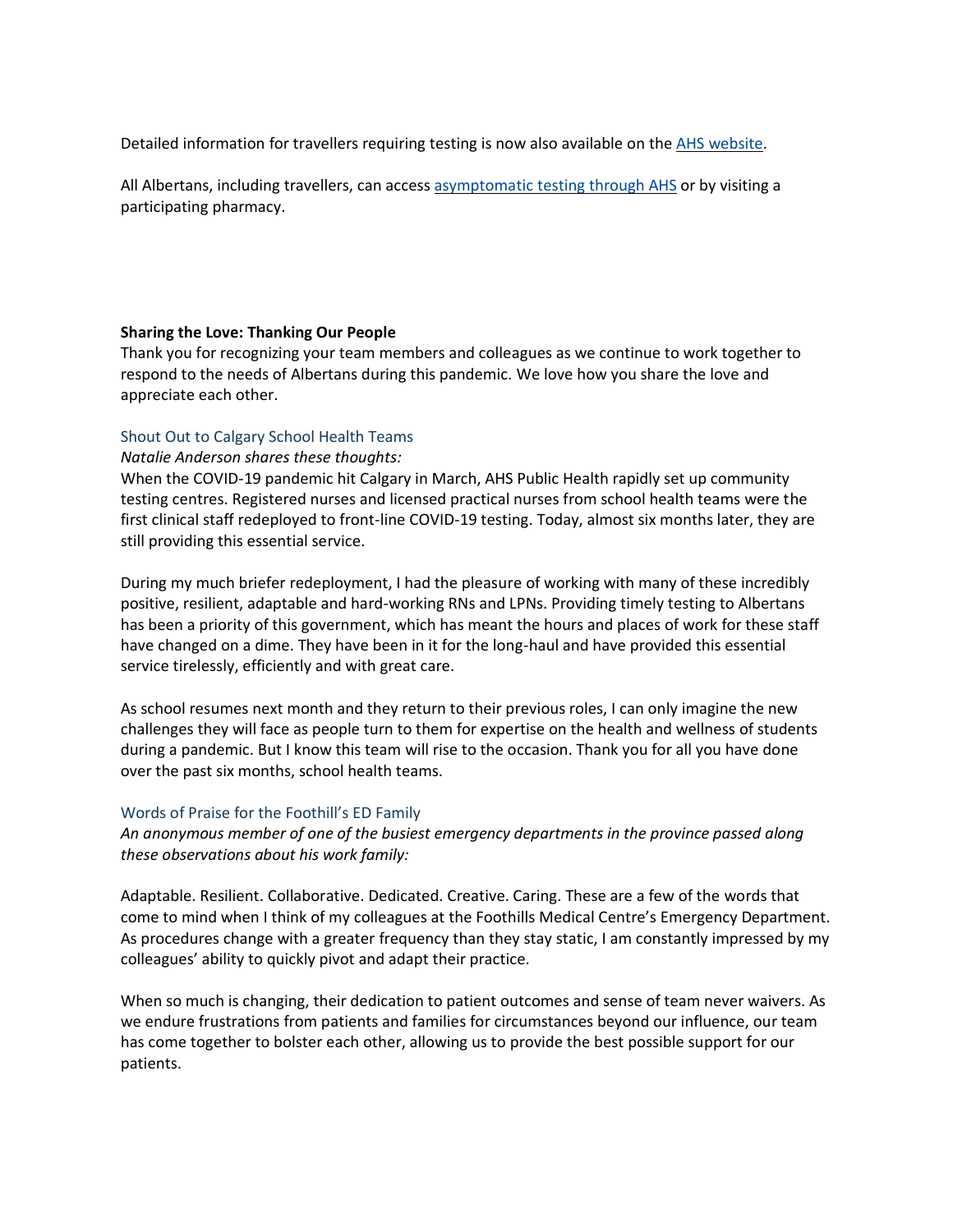Detailed information for travellers requiring testing is now also available on the AHS [website.](http://www.ahs.ca/results#travel)

All Albertans, including travellers, can access [asymptomatic](https://www.albertahealthservices.ca/topics/Page17058.aspx) testing through AHS or by visiting a participating pharmacy.

#### **Sharing the Love: Thanking Our People**

Thank you for recognizing your team members and colleagues as we continue to work together to respond to the needs of Albertans during this pandemic. We love how you share the love and appreciate each other.

### Shout Out to Calgary School Health Teams

#### *Natalie Anderson shares these thoughts:*

When the COVID-19 pandemic hit Calgary in March, AHS Public Health rapidly set up community testing centres. Registered nurses and licensed practical nurses from school health teams were the first clinical staff redeployed to front-line COVID-19 testing. Today, almost six months later, they are still providing this essential service.

During my much briefer redeployment, I had the pleasure of working with many of these incredibly positive, resilient, adaptable and hard-working RNs and LPNs. Providing timely testing to Albertans has been a priority of this government, which has meant the hours and places of work for these staff have changed on a dime. They have been in it for the long-haul and have provided this essential service tirelessly, efficiently and with great care.

As school resumes next month and they return to their previous roles, I can only imagine the new challenges they will face as people turn to them for expertise on the health and wellness of students during a pandemic. But I know this team will rise to the occasion. Thank you for all you have done over the past six months, school health teams.

#### Words of Praise for the Foothill's ED Family

*An anonymous member of one of the busiest emergency departments in the province passed along these observations about his work family:*

Adaptable. Resilient. Collaborative. Dedicated. Creative. Caring. These are a few of the words that come to mind when I think of my colleagues at the Foothills Medical Centre's Emergency Department. As procedures change with a greater frequency than they stay static, I am constantly impressed by my colleagues' ability to quickly pivot and adapt their practice.

When so much is changing, their dedication to patient outcomes and sense of team never waivers. As we endure frustrations from patients and families for circumstances beyond our influence, our team has come together to bolster each other, allowing us to provide the best possible support for our patients.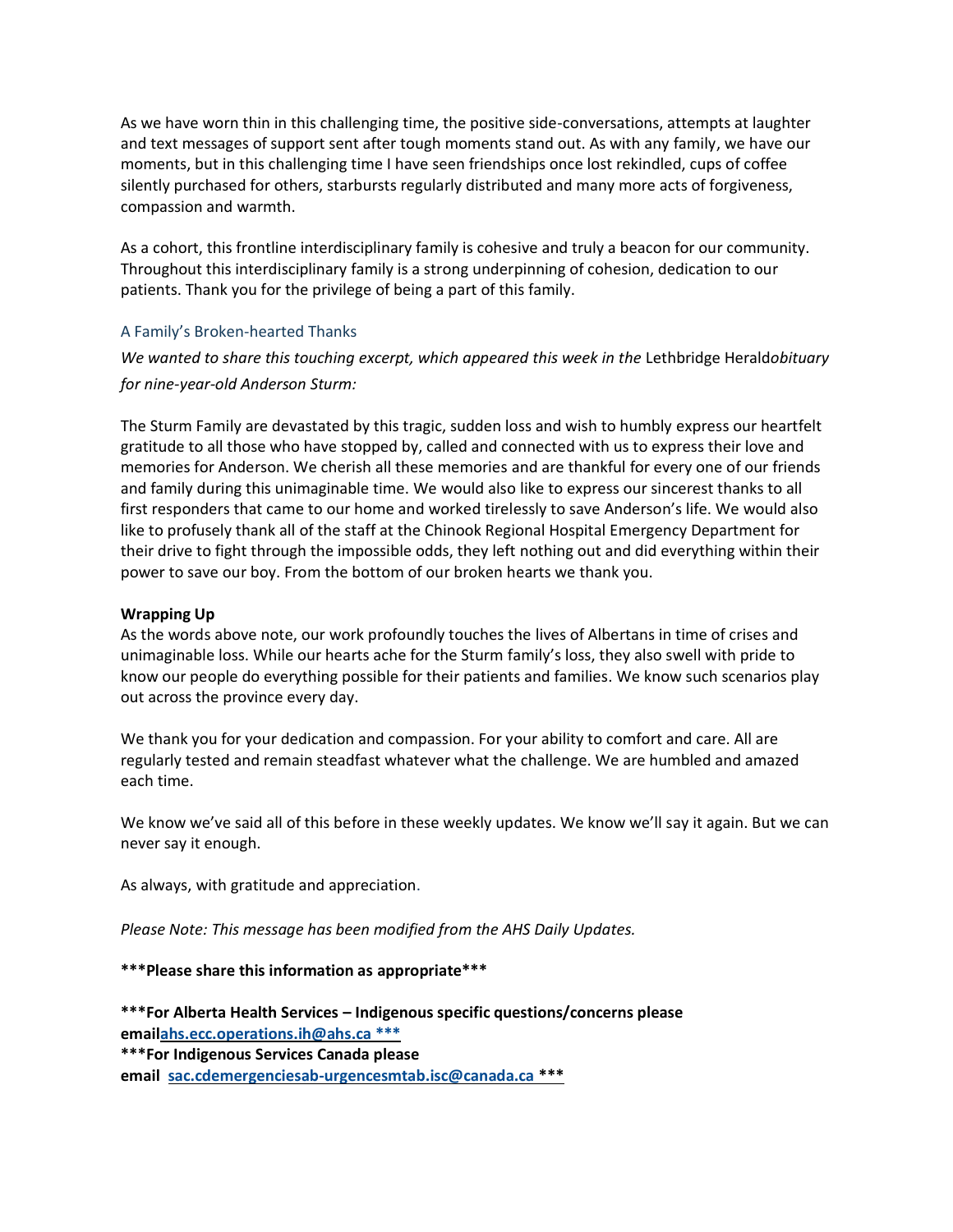As we have worn thin in this challenging time, the positive side-conversations, attempts at laughter and text messages of support sent after tough moments stand out. As with any family, we have our moments, but in this challenging time I have seen friendships once lost rekindled, cups of coffee silently purchased for others, starbursts regularly distributed and many more acts of forgiveness, compassion and warmth.

As a cohort, this frontline interdisciplinary family is cohesive and truly a beacon for our community. Throughout this interdisciplinary family is a strong underpinning of cohesion, dedication to our patients. Thank you for the privilege of being a part of this family.

#### A Family's Broken-hearted Thanks

*We wanted to share this touching excerpt, which appeared this week in the* Lethbridge Herald*obituary for nine-year-old Anderson Sturm:*

The Sturm Family are devastated by this tragic, sudden loss and wish to humbly express our heartfelt gratitude to all those who have stopped by, called and connected with us to express their love and memories for Anderson. We cherish all these memories and are thankful for every one of our friends and family during this unimaginable time. We would also like to express our sincerest thanks to all first responders that came to our home and worked tirelessly to save Anderson's life. We would also like to profusely thank all of the staff at the Chinook Regional Hospital Emergency Department for their drive to fight through the impossible odds, they left nothing out and did everything within their power to save our boy. From the bottom of our broken hearts we thank you.

### **Wrapping Up**

As the words above note, our work profoundly touches the lives of Albertans in time of crises and unimaginable loss. While our hearts ache for the Sturm family's loss, they also swell with pride to know our people do everything possible for their patients and families. We know such scenarios play out across the province every day.

We thank you for your dedication and compassion. For your ability to comfort and care. All are regularly tested and remain steadfast whatever what the challenge. We are humbled and amazed each time.

We know we've said all of this before in these weekly updates. We know we'll say it again. But we can never say it enough.

As always, with gratitude and appreciation.

*Please Note: This message has been modified from the AHS Daily Updates.*

**\*\*\*Please share this information as appropriate\*\*\***

**\*\*\*For Alberta Health Services – Indigenous specific questions/concerns please ema[ilahs.ecc.operations.ih@ahs.ca \\*\\*\\*](mailto:ahs.ecc.operations.ih@ahs.ca%20***)**

**\*\*\*For Indigenous Services Canada please email [sac.cdemergenciesab-urgencesmtab.isc@canada.ca](mailto:sac.cdemergenciesab-urgencesmtab.isc@canada.ca) \*\*\***